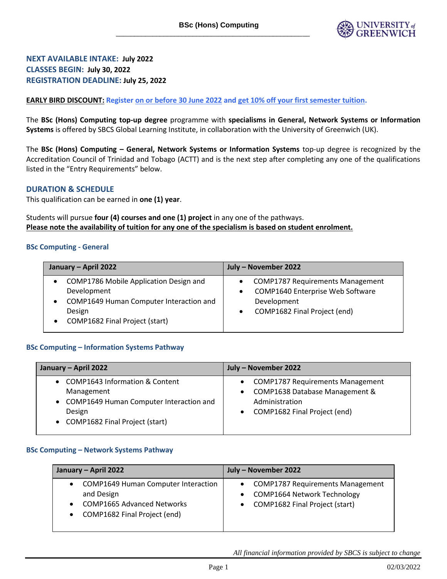

**NEXT AVAILABLE INTAKE: July 2022 CLASSES BEGIN: July 30, 2022 REGISTRATION DEADLINE: July 25, 2022**

**EARLY BIRD DISCOUNT: Register on or before 30 June 2022 and get 10% off your first semester tuition.**

The **BSc (Hons) Computing top-up degree** programme with **specialisms in General, Network Systems or Information Systems** is offered by SBCS Global Learning Institute, in collaboration with the University of Greenwich (UK).

The **BSc (Hons) Computing – General, Network Systems or Information Systems** top-up degree is recognized by the Accreditation Council of Trinidad and Tobago (ACTT) and is the next step after completing any one of the qualifications listed in the "Entry Requirements" below.

# **DURATION & SCHEDULE**

This qualification can be earned in **one (1) year**.

Students will pursue **four (4) courses and one (1) project** in any one of the pathways. **Please note the availability of tuition for any one of the specialism is based on student enrolment.**

#### **BSc Computing - General**

| January - April 2022                                                                                                                                                     | July - November 2022                                                                                                              |
|--------------------------------------------------------------------------------------------------------------------------------------------------------------------------|-----------------------------------------------------------------------------------------------------------------------------------|
| COMP1786 Mobile Application Design and<br>$\bullet$<br>Development<br>COMP1649 Human Computer Interaction and<br>$\bullet$<br>Design<br>• COMP1682 Final Project (start) | <b>COMP1787 Requirements Management</b><br><b>COMP1640 Enterprise Web Software</b><br>Development<br>COMP1682 Final Project (end) |

# **BSc Computing – Information Systems Pathway**

| January - April 2022                                                                                                                      | July - November 2022                                                                                                     |
|-------------------------------------------------------------------------------------------------------------------------------------------|--------------------------------------------------------------------------------------------------------------------------|
| • COMP1643 Information & Content<br>Management<br>• COMP1649 Human Computer Interaction and<br>Design<br>• COMP1682 Final Project (start) | • COMP1787 Requirements Management<br>• COMP1638 Database Management &<br>Administration<br>COMP1682 Final Project (end) |

#### **BSc Computing – Network Systems Pathway**

| January - April 2022                                                                                                          | July - November 2022                                                                                            |
|-------------------------------------------------------------------------------------------------------------------------------|-----------------------------------------------------------------------------------------------------------------|
| <b>COMP1649 Human Computer Interaction</b><br>and Design<br><b>COMP1665 Advanced Networks</b><br>COMP1682 Final Project (end) | <b>COMP1787 Requirements Management</b><br><b>COMP1664 Network Technology</b><br>COMP1682 Final Project (start) |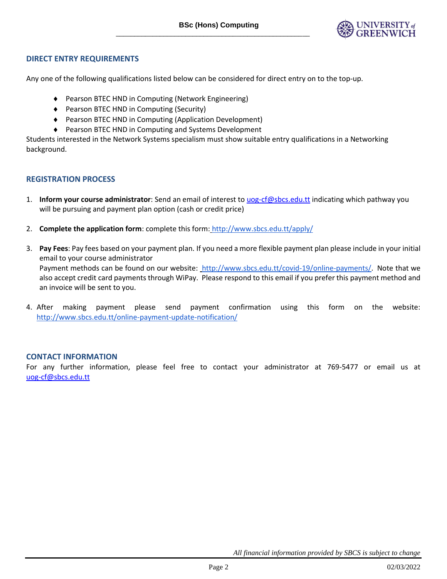

# **DIRECT ENTRY REQUIREMENTS**

Any one of the following qualifications listed below can be considered for direct entry on to the top-up.

- ◆ Pearson BTEC HND in Computing (Network Engineering)
- ◆ Pearson BTEC HND in Computing (Security)
- Pearson BTEC HND in Computing (Application Development)
- ♦ Pearson BTEC HND in Computing and Systems Development

Students interested in the Network Systems specialism must show suitable entry qualifications in a Networking background.

# **REGISTRATION PROCESS**

- 1. **Inform your course administrator**: Send an email of interest to [uog-cf@sbcs.edu.tt](mailto:uog-cf@sbcs.edu.tt) indicating which pathway you will be pursuing and payment plan option (cash or credit price)
- 2. **Complete the application form**: complete this form: <http://www.sbcs.edu.tt/apply/>
- 3. **Pay Fees**: Pay fees based on your payment plan. If you need a more flexible payment plan please include in your initial email to your course administrator Payment methods can be found on our website: [http://www.sbcs.edu.tt/covid-19/online-payments/.](http://www.sbcs.edu.tt/covid-19/online-payments/) Note that we also accept credit card payments through WiPay. Please respond to this email if you prefer this payment method and an invoice will be sent to you.
- 4. After making payment please send payment confirmation using this form on the website: <http://www.sbcs.edu.tt/online-payment-update-notification/>

# **CONTACT INFORMATION**

For any further information, please feel free to contact your administrator at 769-5477 or email us at [uog-cf@sbcs.edu.tt](mailto:uog-cf@sbcs.edu.tt)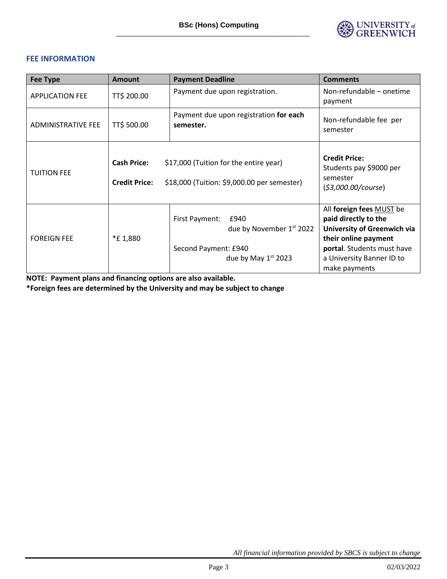

# **FEE INFORMATION**

| <b>Fee Type</b>           | <b>Amount</b>                                                                                                                       | <b>Payment Deadline</b>                                                                             | <b>Comments</b>                                                                                                                                                                     |  |
|---------------------------|-------------------------------------------------------------------------------------------------------------------------------------|-----------------------------------------------------------------------------------------------------|-------------------------------------------------------------------------------------------------------------------------------------------------------------------------------------|--|
| <b>APPLICATION FEE</b>    | TT\$ 200.00                                                                                                                         | Payment due upon registration.                                                                      | Non-refundable - onetime<br>payment                                                                                                                                                 |  |
| <b>ADMINISTRATIVE FEE</b> | TT\$ 500.00                                                                                                                         | Payment due upon registration for each<br>semester.                                                 | Non-refundable fee per<br>semester                                                                                                                                                  |  |
| <b>TUITION FEE</b>        | <b>Cash Price:</b><br>\$17,000 (Tuition for the entire year)<br>\$18,000 (Tuition: \$9,000.00 per semester)<br><b>Credit Price:</b> |                                                                                                     | <b>Credit Price:</b><br>Students pay \$9000 per<br>semester<br>(53,000.00/course)                                                                                                   |  |
| <b>FOREIGN FEE</b>        | *£1,880                                                                                                                             | First Payment:<br>£940<br>due by November 1st 2022<br>Second Payment: £940<br>due by May $1st 2023$ | All foreign fees MUST be<br>paid directly to the<br>University of Greenwich via<br>their online payment<br>portal. Students must have<br>a University Banner ID to<br>make payments |  |

**NOTE: Payment plans and financing options are also available.** 

**\*Foreign fees are determined by the University and may be subject to change**